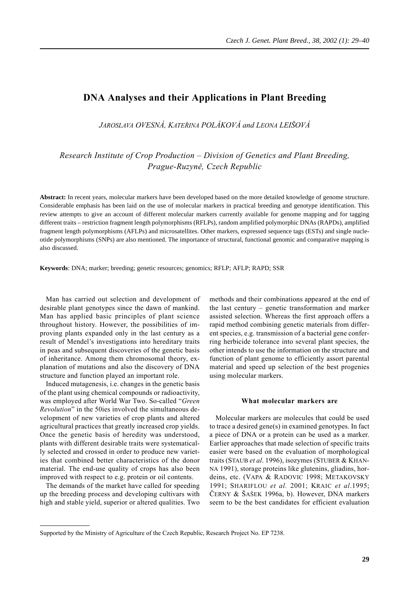# **DNA Analyses and their Applications in Plant Breeding**

*JAROSLAVA OVESNÁ, KATEŘINA POLÁKOVÁ and LEONA LEIŠOVÁ*

*Research Institute of Crop Production – Division of Genetics and Plant Breeding, Prague-Ruzyně, Czech Republic*

**Abstract:** In recent years, molecular markers have been developed based on the more detailed knowledge of genome structure. Considerable emphasis has been laid on the use of molecular markers in practical breeding and genotype identification. This review attempts to give an account of different molecular markers currently available for genome mapping and for tagging different traits – restriction fragment length polymorphisms (RFLPs), random amplified polymorphic DNAs (RAPDs), amplified fragment length polymorphisms (AFLPs) and microsatellites. Other markers, expressed sequence tags (ESTs) and single nucleotide polymorphisms (SNPs) are also mentioned. The importance of structural, functional genomic and comparative mapping is also discussed.

**Keywords**: DNA; marker; breeding; genetic resources; genomics; RFLP; AFLP; RAPD; SSR

Man has carried out selection and development of desirable plant genotypes since the dawn of mankind. Man has applied basic principles of plant science throughout history. However, the possibilities of improving plants expanded only in the last century as a result of Mendel's investigations into hereditary traits in peas and subsequent discoveries of the genetic basis of inheritance. Among them chromosomal theory, explanation of mutations and also the discovery of DNA structure and function played an important role.

Induced mutagenesis, i.e. changes in the genetic basis of the plant using chemical compounds or radioactivity, was employed after World War Two. So-called "*Green Revolution*" in the 50ies involved the simultaneous development of new varieties of crop plants and altered agricultural practices that greatly increased crop yields. Once the genetic basis of heredity was understood, plants with different desirable traits were systematically selected and crossed in order to produce new varieties that combined better characteristics of the donor material. The end-use quality of crops has also been improved with respect to e.g. protein or oil contents.

The demands of the market have called for speeding up the breeding process and developing cultivars with high and stable yield, superior or altered qualities. Two methods and their combinations appeared at the end of the last century – genetic transformation and marker assisted selection. Whereas the first approach offers a rapid method combining genetic materials from different species, e.g. transmission of a bacterial gene conferring herbicide tolerance into several plant species, the other intends to use the information on the structure and function of plant genome to efficiently assort parental material and speed up selection of the best progenies using molecular markers.

# **What molecular markers are**

Molecular markers are molecules that could be used to trace a desired gene(s) in examined genotypes. In fact a piece of DNA or a protein can be used as a marker. Earlier approaches that made selection of specific traits easier were based on the evaluation of morphological traits (STAUB *et al*. 1996), isozymes (STUBER & KHAN-NA 1991), storage proteins like glutenins, gliadins, hordeins, etc. (VAPA & RADOVIC 1998; METAKOVSKY 1991; SHARIFLOU *et al.* 2001; KRAIC *et al*.1995; ČERNY & ŠAŠEK 1996a, b). However, DNA markers seem to be the best candidates for efficient evaluation

Supported by the Ministry of Agriculture of the Czech Republic, Research Project No. EP 7238.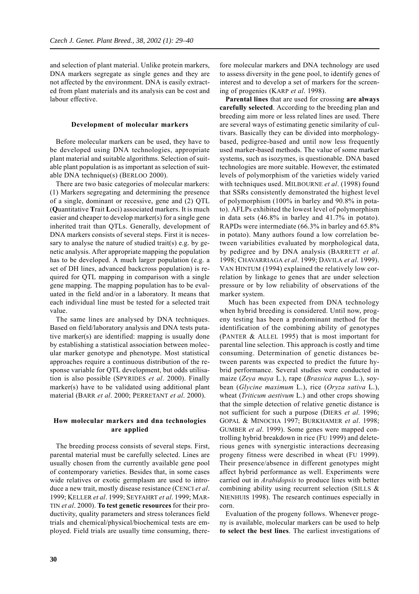and selection of plant material. Unlike protein markers, DNA markers segregate as single genes and they are not affected by the environment. DNA is easily extracted from plant materials and its analysis can be cost and labour effective.

#### **Development of molecular markers**

Before molecular markers can be used, they have to be developed using DNA technologies, appropriate plant material and suitable algorithms. Selection of suitable plant population is as important as selection of suitable DNA technique(s) (BERLOO 2000).

There are two basic categories of molecular markers: (1) Markers segregating and determining the presence of a single, dominant or recessive, gene and (2) QTL (**Q**uantitative **T**rait **L**oci) associated markers. It is much easier and cheaper to develop marker(s) for a single gene inherited trait than QTLs. Generally, development of DNA markers consists of several steps. First it is necessary to analyse the nature of studied trait(s) e.g. by genetic analysis. After appropriate mapping the population has to be developed. A much larger population (e.g. a set of DH lines, advanced backcross population) is required for QTL mapping in comparison with a single gene mapping. The mapping population has to be evaluated in the field and/or in a laboratory. It means that each individual line must be tested for a selected trait value.

The same lines are analysed by DNA techniques. Based on field/laboratory analysis and DNA tests putative marker(s) are identified: mapping is usually done by establishing a statistical association between molecular marker genotype and phenotype. Most statistical approaches require a continuous distribution of the response variable for QTL development, but odds utilisation is also possible (SPYRIDES *et al*. 2000). Finally marker(s) have to be validated using additional plant material (BARR *et al*. 2000; PERRETANT *et al*. 2000).

## **How molecular markers and dna technologies are applied**

The breeding process consists of several steps. First, parental material must be carefully selected. Lines are usually chosen from the currently available gene pool of contemporary varieties. Besides that, in some cases wide relatives or exotic germplasm are used to introduce a new trait, mostly disease resistance (CENCI *et al*. 1999; KELLER *et al*. 1999; SEYFAHRT *et al*. 1999; MAR-TIN *et al*. 2000). **To test genetic resources** for their productivity, quality parameters and stress tolerances field trials and chemical/physical/biochemical tests are employed. Field trials are usually time consuming, therefore molecular markers and DNA technology are used to assess diversity in the gene pool, to identify genes of interest and to develop a set of markers for the screening of progenies (KARP *et al*. 1998).

**Parental lines** that are used for crossing **are always carefully selected**. According to the breeding plan and breeding aim more or less related lines are used. There are several ways of estimating genetic similarity of cultivars. Basically they can be divided into morphologybased, pedigree-based and until now less frequently used marker-based methods. The value of some marker systems, such as isozymes, is questionable. DNA based technologies are more suitable. However, the estimated levels of polymorphism of the varieties widely varied with techniques used. MILBOURNE *et al*. (1998) found that SSRs consistently demonstrated the highest level of polymorphism (100% in barley and 90.8% in potato). AFLPs exhibited the lowest level of polymorphism in data sets (46.8% in barley and 41.7% in potato). RAPDs were intermediate (66.3% in barley and 65.8% in potato). Many authors found a low correlation between variabilities evaluated by morphological data, by pedigree and by DNA analysis (BARRETT *et al*. 1998; CHAVARRIAGA *et al*. 1999; DAVILA *et al*. 1999). VAN HINTUM (1994) explained the relatively low correlation by linkage to genes that are under selection pressure or by low reliability of observations of the marker system.

 Much has been expected from DNA technology when hybrid breeding is considered. Until now, progeny testing has been a predominant method for the identification of the combining ability of genotypes (PANTER & ALLEL 1995) that is most important for parental line selection. This approach is costly and time consuming. Determination of genetic distances between parents was expected to predict the future hybrid performance. Several studies were conducted in maize (*Zeya maya* L*.*), rape (*Brassica napus* L.), soybean (*Glycine maximum* L.), rice (*Oryza sativa* L.), wheat (*Triticum aestivum* L.) and other crops showing that the simple detection of relative genetic distance is not sufficient for such a purpose (DIERS *et al*. 1996; GOPAL & MINOCHA 1997; BURKHAMER *et al*. 1998; GUMBER *et al*. 1999). Some genes were mapped controlling hybrid breakdown in rice (FU 1999) and deleterious genes with synergistic interactions decreasing progeny fitness were described in wheat (FU 1999). Their presence/absence in different genotypes might affect hybrid performance as well. Experiments were carried out in *Arabidopsis* to produce lines with better combining ability using recurrent selection (SILLS & NIENHUIS 1998). The research continues especially in corn.

Evaluation of the progeny follows. Whenever progeny is available, molecular markers can be used to help **to select the best lines**. The earliest investigations of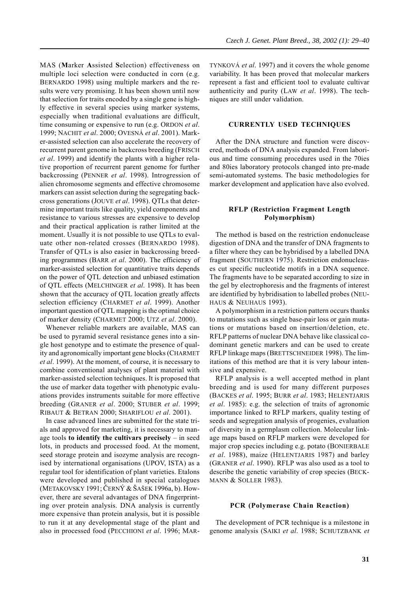MAS (**M**arker **A**ssisted **S**election) effectiveness on multiple loci selection were conducted in corn (e.g. BERNARDO 1998) using multiple markers and the results were very promising. It has been shown until now that selection for traits encoded by a single gene is highly effective in several species using marker systems, especially when traditional evaluations are difficult, time consuming or expensive to run (e.g. ORDON *et al*. 1999; NACHIT *et al*. 2000; OVESNÁ *et al*. 2001). Marker-assisted selection can also accelerate the recovery of recurrent parent genome in backcross breeding (FRISCH *et al*. 1999) and identify the plants with a higher relative proportion of recurrent parent genome for further backcrossing (PENNER *et al*. 1998). Introgression of alien chromosome segments and effective chromosome markers can assist selection during the segregating backcross generations (JOUVE *et al*. 1998). QTLs that determine important traits like quality, yield components and resistance to various stresses are expensive to develop and their practical application is rather limited at the moment. Usually it is not possible to use QTLs to evaluate other non-related crosses (BERNARDO 1998). Transfer of QTLs is also easier in backcrossing breeding programmes (BARR *et al*. 2000). The efficiency of marker-assisted selection for quantitative traits depends on the power of QTL detection and unbiased estimation of QTL effects (MELCHINGER *et al*. 1998). It has been shown that the accuracy of QTL location greatly affects selection efficiency (CHARMET *et al*. 1999). Another important question of QTL mapping is the optimal choice of marker density (CHARMET 2000; UTZ *et al*. 2000).

Whenever reliable markers are available, MAS can be used to pyramid several resistance genes into a single host genotype and to estimate the presence of quality and agronomically important gene blocks (CHARMET *et al*. 1999). At the moment, of course, it is necessary to combine conventional analyses of plant material with marker-assisted selection techniques. It is proposed that the use of marker data together with phenotypic evaluations provides instruments suitable for more effective breeding (GRANER *et al*. 2000; STUBER *et al*. 1999; RIBAUT & BETRAN 2000; SHARIFLOU *et al*. 2001).

In case advanced lines are submitted for the state trials and approved for marketing, it is necessary to manage tools **to identify the cultivars precisely** – in seed lots, in products and processed food. At the moment, seed storage protein and isozyme analysis are recognised by international organisations (UPOV, ISTA) as a regular tool for identification of plant varieties. Etalons were developed and published in special catalogues (METAKOVSKY 1991; ČERNÝ & ŠAŠEK 1996a, b). However, there are several advantages of DNA fingerprinting over protein analysis. DNA analysis is currently more expensive than protein analysis, but it is possible to run it at any developmental stage of the plant and also in processed food (PECCHIONI *et al*. 1996; MAR- TYNKOVÁ *et al*. 1997) and it covers the whole genome variability. It has been proved that molecular markers represent a fast and efficient tool to evaluate cultivar authenticity and purity (LAW *et al*. 1998). The techniques are still under validation.

#### **CURRENTLY USED TECHNIQUES**

After the DNA structure and function were discovered, methods of DNA analysis expanded. From laborious and time consuming procedures used in the 70ies and 80ies laboratory protocols changed into pre-made semi-automated systems. The basic methodologies for marker development and application have also evolved.

## **RFLP (Restriction Fragment Length Polymorphism)**

The method is based on the restriction endonuclease digestion of DNA and the transfer of DNA fragments to a filter where they can be hybridised by a labelled DNA fragment (SOUTHERN 1975). Restriction endonucleases cut specific nucleotide motifs in a DNA sequence. The fragments have to be separated according to size in the gel by electrophoresis and the fragments of interest are identified by hybridisation to labelled probes (NEU-HAUS & NEUHAUS 1993).

A polymorphism in a restriction pattern occurs thanks to mutations such as single base-pair loss or gain mutations or mutations based on insertion/deletion, etc. RFLP patterns of nuclear DNA behave like classical codominant genetic markers and can be used to create RFLP linkage maps (BRETTSCHNEIDER 1998). The limitations of this method are that it is very labour intensive and expensive.

RFLP analysis is a well accepted method in plant breeding and is used for many different purposes (BACKES *et al*. 1995; BURR *et al*. 1983; HELENTJARIS *et al*. 1985): e.g. the selection of traits of agronomic importance linked to RFLP markers, quality testing of seeds and segregation analysis of progenies, evaluation of diversity in a germplasm collection. Molecular linkage maps based on RFLP markers were developed for major crop species including e.g. potato (BONIERBALE *et al*. 1988), maize (HELENTJARIS 1987) and barley (GRANER *et al*. 1990). RFLP was also used as a tool to describe the genetic variability of crop species (BECK-MANN & SOLLER 1983).

#### **PCR (Polymerase Chain Reaction)**

The development of PCR technique is a milestone in genome analysis (SAIKI *et al*. 1988; SCHUTZBANK *et*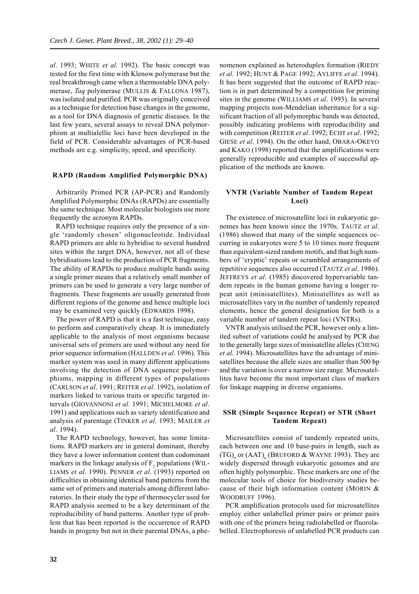*al*. 1993; WHITE *et al*. 1992). The basic concept was tested for the first time with Klenow polymerase but the real breakthrough came when a thermostable DNA polymerase, *Taq* polymerase (MULLIS & FALLONA 1987), was isolated and purified. PCR was originally conceived as a technique for detection base changes in the genome, as a tool for DNA diagnosis of genetic diseases. In the last few years, several assays to reveal DNA polymorphism at multialellic loci have been developed in the field of PCR. Considerable advantages of PCR-based methods are e.g. simplicity, speed, and specificity.

#### **RAPD (Random Amplified Polymorphic DNA)**

Arbitrarily Primed PCR (AP-PCR) and Randomly Amplified Polymorphic DNAs (RAPDs) are essentially the same technique. Most molecular biologists use more frequently the acronym RAPDs.

RAPD technique requires only the presence of a single 'randomly chosen' oligonucleotide. Individual RAPD primers are able to hybridise to several hundred sites within the target DNA, however, not all of these hybridisations lead to the production of PCR fragments. The ability of RAPDs to produce multiple bands using a single primer means that a relatively small number of primers can be used to generate a very large number of fragments. These fragments are usually generated from different regions of the genome and hence multiple loci may be examined very quickly (EDWARDS 1998).

The power of RAPD is that it is a fast technique, easy to perform and comparatively cheap. It is immediately applicable to the analysis of most organisms because universal sets of primers are used without any need for prior sequence information (HALLDEN *et al*. 1996). This marker system was used in many different applications involving the detection of DNA sequence polymorphisms, mapping in different types of populations (CARLSON *et al*. 1991; REITER *et al*. 1992), isolation of markers linked to various traits or specific targeted intervals (GIOVANNONI *et al*. 1991; MICHELMORE *et al*. 1991) and applications such as variety identification and analysis of parentage (TINKER *et al*. 1993; MAILER *et al*. 1994).

The RAPD technology, however, has some limitations. RAPD markers are in general dominant, thereby they have a lower information content than codominant markers in the linkage analysis of  $F<sub>2</sub>$  populations (WIL-LIAMS *et al*. 1990). PENNER *et al*. (1993) reported on difficulties in obtaining identical band patterns from the same set of primers and materials among different laboratories. In their study the type of thermocycler used for RAPD analysis seemed to be a key determinant of the reproducibility of band patterns. Another type of problem that has been reported is the occurrence of RAPD bands in progeny but not in their parental DNAs, a phenomenon explained as heteroduplex formation (RIEDY *et al*. 1992; HUNT & PAGE 1992; AYLIFFE *et al*. 1994). It has been suggested that the outcome of RAPD reaction is in part determined by a competition for priming sites in the genome (WILLIAMS *et al*. 1993). In several mapping projects non-Mendelian inheritance for a significant fraction of all polymorphic bands was detected, possibly indicating problems with reproducibility and with competition (REITER *et al*. 1992; ECHT *et al*. 1992; GIESE *et al*. 1994). On the other hand, OBARA-OKEYO and KAKO (1998) reported that the amplifications were generally reproducible and examples of successful application of the methods are known.

# **VNTR (Variable Number of Tandem Repeat Loci)**

The existence of microsatellite loci in eukaryotic genomes has been known since the 1970s. TAUTZ *et al*. (1986) showed that many of the simple sequences occurring in eukaryotes were 5 to 10 times more frequent than equivalent-sized random motifs, and that high numbers of 'cryptic' repeats or scrambled arrangements of repetitive sequences also occurred (TAUTZ *et al*. 1986). JEFFREYS *et al*. (1985) discovered hypervariable tandem repeats in the human genome having a longer repeat unit (minisatellites). Minisatellites as well as microsatellites vary in the number of tandemly repeated elements, hence the general designation for both is a variable number of tandem repeat loci (VNTRs).

VNTR analysis utilised the PCR, however only a limited subset of variations could be analysed by PCR due to the generally large sizes of minisatellite alleles (CHENG *et al*. 1994). Microsatellites have the advantage of minisatellites because the allele sizes are smaller than 500 bp and the variation is over a narrow size range. Microsatellites have become the most important class of markers for linkage mapping in diverse organisms.

## **SSR (Simple Sequence Repeat) or STR (Short Tandem Repeat)**

Microsatellites consist of tandemly repeated units, each between one and 10 base-pairs in length, such as  $(TG)$ , or  $(AAT)$ , (BRUFORD & WAYNE 1993). They are widely dispersed through eukaryotic genomes and are often highly polymorphic. These markers are one of the molecular tools of choice for biodiversity studies because of their high information content (MORIN & WOODRUFF 1996).

PCR amplification protocols used for microsatellites employ either unlabelled primer pairs or primer pairs with one of the primers being radiolabelled or fluorolabelled. Electrophoresis of unlabelled PCR products can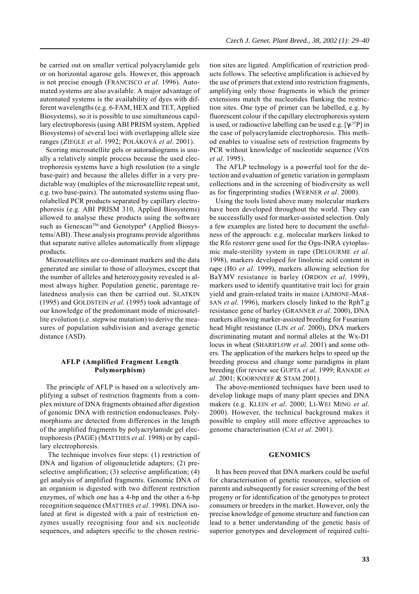be carried out on smaller vertical polyacrylamide gels or on horizontal agarose gels. However, this approach is not precise enough (FRANCISCO *et al*. 1996). Automated systems are also available. A major advantage of automated systems is the availability of dyes with different wavelengths (e.g. 6-FAM, HEX and TET, Applied Biosystems), so it is possible to use simultaneous capillary electrophoresis (using ABI PRISM system, Applied Biosystems) of several loci with overlapping allele size ranges (ZIEGLE *et al*. 1992; POLÁKOVÁ *et al*. 2001).

Scoring microsatellite gels or autoradiograms is usually a relatively simple process because the used electrophoresis systems have a high resolution (to a single base-pair) and because the alleles differ in a very predictable way (multiples of the microsatellite repeat unit, e.g. two base-pairs). The automated systems using fluorolabelled PCR products separated by capillary electrophoresis (e.g. ABI PRISM 310, Applied Biosystems) allowed to analyse these products using the software such as Genescan™ and Genotyper<sup>R</sup> (Applied Biosystems/ABI). These analysis programs provide algorithms that separate native alleles automatically from slippage products.

Microsatellites are co-dominant markers and the data generated are similar to those of allozymes, except that the number of alleles and heterozygosity revealed is almost always higher. Population genetic, parentage relatedness analysis can then be carried out. SLATKIN (1995) and GOLDSTEIN *et al*. (1995) took advantage of our knowledge of the predominant mode of microsatellite evolution (i.e. stepwise mutation) to derive the measures of population subdivision and average genetic distance (ASD).

## **AFLP (Amplified Fragment Length Polymorphism)**

The principle of AFLP is based on a selectively amplifying a subset of restriction fragments from a complex mixture of DNA fragments obtained after digestion of genomic DNA with restriction endonucleases. Polymorphisms are detected from differences in the length of the amplified fragments by polyacrylamide gel electrophoresis (PAGE) (MATTHES *et al*. 1998) or by capillary electrophoresis.

 The technique involves four steps: (1) restriction of DNA and ligation of oligonucletide adapters; (2) preselective amplification; (3) selective amplification; (4) gel analysis of amplified fragments. Genomic DNA of an organism is digested with two different restriction enzymes, of which one has a 4-bp and the other a 6-bp recognition sequence (MATTHES *et al*. 1998). DNA isolated at first is digested with a pair of restriction enzymes usually recognising four and six nucleotide sequences, and adapters specific to the chosen restriction sites are ligated. Amplification of restriction products follows. The selective amplification is achieved by the use of primers that extend into restriction fragments, amplifying only those fragments in which the primer extensions match the nucleotides flanking the restriction sites. One type of primer can be labelled, e.g. by fluorescent colour if the capillary electrophoresis system is used, or radioactive labelling can be used e.g.  $[\gamma^{33}P]$  in the case of polyacrylamide electrophoresis. This method enables to visualise sets of restriction fragments by PCR without knowledge of nucleotide sequence (VOS *et al*. 1995).

The AFLP technology is a powerful tool for the detection and evaluation of genetic variation in germplasm collections and in the screening of biodiversity as well as for fingerprinting studies (WERNER *et al*. 2000).

Using the tools listed above many molecular markers have been developed throughout the world. They can be successfully used for marker-assisted selection. Only a few examples are listed here to document the usefulness of the approach: e.g. molecular markers linked to the Rfo restorer gene used for the Ogu-INRA cytoplasmic male-sterility system in rape (DELOURME *et al*. 1998), markers developed for linolenic acid content in rape (HO *et al*. 1999), markers allowing selection for BaYMV resistance in barley (ORDON *et al*. 1999), markers used to identify quantitative trait loci for grain yield and grain-related traits in maize (AJMONE-MAR-SAN *et al*. 1996), markers closely linked to the Rph7.g resistance gene of barley (GRANNER *et al*. 2000), DNA markers allowing marker-assisted breeding for Fusarium head blight resistance (LIN *et al*. 2000), DNA markers discriminating mutant and normal alleles at the Wx-D1 locus in wheat (SHARIFLOW *et al*. 2001) and some others. The application of the markers helps to speed up the breeding process and change some paradigms in plant breeding (for review see GUPTA *et al*. 1999; RANADE *et al*. 2001; KOORNNEEF & STAM 2001).

The above-mentioned techniques have been used to develop linkage maps of many plant species and DNA makers (e.g. KLEIN *et al*. 2000; LI-WEI MING *et al*. 2000). However, the technical background makes it possible to employ still more effective approaches to genome characterisation (CAI *et al*. 2001).

#### **GENOMICS**

It has been proved that DNA markers could be useful for characterisation of genetic resources, selection of parents and subsequently for easier screening of the best progeny or for identification of the genotypes to protect consumers or breeders in the market. However, only the precise knowledge of genome structure and function can lead to a better understanding of the genetic basis of superior genotypes and development of required culti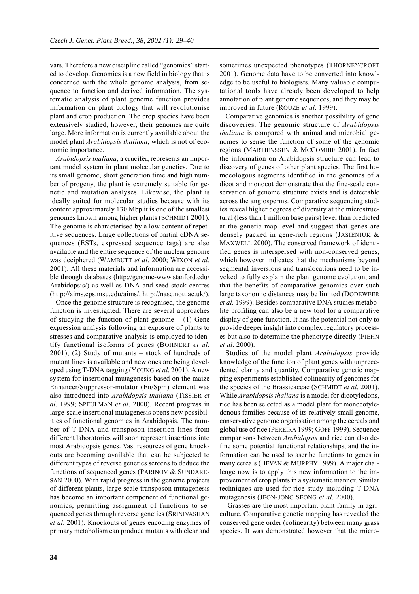vars. Therefore a new discipline called "genomics" started to develop. Genomics is a new field in biology that is concerned with the whole genome analysis, from sequence to function and derived information. The systematic analysis of plant genome function provides information on plant biology that will revolutionise plant and crop production. The crop species have been extensively studied, however, their genomes are quite large. More information is currently available about the model plant *Arabidopsis thaliana*, which is not of economic importance.

*Arabidopsis thaliana*, a crucifer, represents an important model system in plant molecular genetics. Due to its small genome, short generation time and high number of progeny, the plant is extremely suitable for genetic and mutation analyses. Likewise, the plant is ideally suited for molecular studies because with its content approximately 130 Mbp it is one of the smallest genomes known among higher plants (SCHMIDT 2001). The genome is characterised by a low content of repetitive sequences. Large collections of partial cDNA sequences (ESTs, expressed sequence tags) are also available and the entire sequence of the nuclear genome was deciphered (WAMBUTT *et al*. 2000; WIXON *et al*. 2001). All these materials and information are accessible through databases (http://genome-www.stanford.edu/ Arabidopsis/) as well as DNA and seed stock centres (http://aims.cps.msu.edu/aims/, http://nasc.nott.ac.uk/).

Once the genome structure is recognised, the genome function is investigated. There are several approaches of studying the function of plant genome  $- (1)$  Gene expression analysis following an exposure of plants to stresses and comparative analysis is employed to identify functional isoforms of genes (BOHNERT *et al*. 2001), (2) Study of mutants – stock of hundreds of mutant lines is available and new ones are being developed using T-DNA tagging (YOUNG *et al*. 2001). A new system for insertional mutagenesis based on the maize Enhancer/Suppressor-mutator (En/Spm) element was also introduced into *Arabidopsis thaliana* (TISSIER *et al*. 1999; SPEULMAN *et al*. 2000). Recent progress in large-scale insertional mutagenesis opens new possibilities of functional genomics in Arabidopsis. The number of T-DNA and transposon insertion lines from different laboratories will soon represent insertions into most Arabidopsis genes. Vast resources of gene knockouts are becoming available that can be subjected to different types of reverse genetics screens to deduce the functions of sequenced genes (PARINOV & SUNDARE-SAN 2000). With rapid progress in the genome projects of different plants, large-scale transposon mutagenesis has become an important component of functional genomics, permitting assignment of functions to sequenced genes through reverse genetics (SRINIVASHAN *et al*. 2001). Knockouts of genes encoding enzymes of primary metabolism can produce mutants with clear and

sometimes unexpected phenotypes (THORNEYCROFT 2001). Genome data have to be converted into knowledge to be useful to biologists. Many valuable computational tools have already been developed to help annotation of plant genome sequences, and they may be improved in future (ROUZE *et al*. 1999).

Comparative genomics is another possibility of gene discoveries. The genomic structure of *Arabidopsis thaliana* is compared with animal and microbial genomes to sense the function of some of the genomic regions (MARTIENSSEN & MCCOMBIE 2001). In fact the information on Arabidopsis structure can lead to discovery of genes of other plant species. The first homoeologous segments identified in the genomes of a dicot and monocot demonstrate that the fine-scale conservation of genome structure exists and is detectable across the angiosperms. Comparative sequencing studies reveal higher degrees of diversity at the microstructural (less than 1 million base pairs) level than predicted at the genetic map level and suggest that genes are densely packed in gene-rich regions (JASIENIUK & MAXWELL 2000). The conserved framework of identified genes is interspersed with non-conserved genes, which however indicates that the mechanisms beyond segmental inversions and translocations need to be invoked to fully explain the plant genome evolution, and that the benefits of comparative genomics over such large taxonomic distances may be limited (DODEWEER *et al*. 1999). Besides comparative DNA studies metabolite profiling can also be a new tool for a comparative display of gene function. It has the potential not only to provide deeper insight into complex regulatory processes but also to determine the phenotype directly (FIEHN *et al*. 2000).

Studies of the model plant *Arabidopsis* provide knowledge of the function of plant genes with unprecedented clarity and quantity. Comparative genetic mapping experiments established colinearity of genomes for the species of the Brassicaceae (SCHMIDT *et al*. 2001). While *Arabidopsis thaliana* is a model for dicotyledons, rice has been selected as a model plant for monocotyledonous families because of its relatively small genome, conservative genome organisation among the cereals and global use of rice (PEREIRA 1999; GOFF 1999). Sequence comparisons between *Arabidopsis* and rice can also define some potential functional relationships, and the information can be used to ascribe functions to genes in many cereals (BEVAN & MURPHY 1999). A major challenge now is to apply this new information to the improvement of crop plants in a systematic manner. Similar techniques are used for rice study including T-DNA mutagenesis (JEON-JONG SEONG *et al*. 2000).

 Grasses are the most important plant family in agriculture. Comparative genetic mapping has revealed the conserved gene order (colinearity) between many grass species. It was demonstrated however that the micro-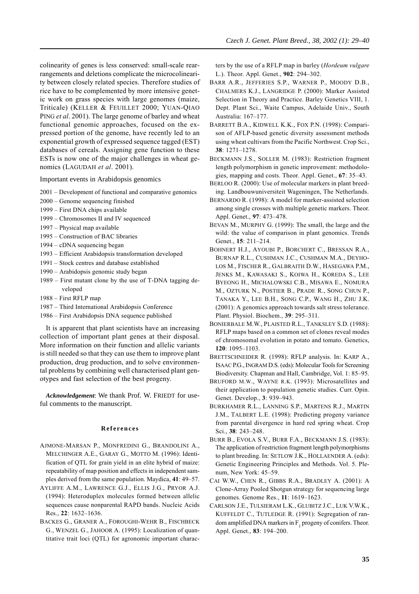colinearity of genes is less conserved: small-scale rearrangements and deletions complicate the microcolinearity between closely related species. Therefore studies of rice have to be complemented by more intensive genetic work on grass species with large genomes (maize, Triticale) (KELLER & FEUILLET 2000; YUAN-QIAO PING *et al*. 2001). The large genome of barley and wheat functional genomic approaches, focused on the expressed portion of the genome, have recently led to an exponential growth of expressed sequence tagged (EST) databases of cereals. Assigning gene function to these ESTs is now one of the major challenges in wheat genomics (LAGUDAH *et al*. 2001).

Important events in Arabidopsis genomics

2001 – Development of functional and comparative genomics

- 2000 Genome sequencing finished
- 1999 First DNA chips available
- 1999 Chromosomes II and IV sequenced
- 1997 Physical map available
- 1995 Construction of BAC libraries
- 1994 cDNA sequencing began
- 1993 Efficient Arabidopsis transformation developed
- 1991 Stock centres and database established
- 1990 Arabidopsis genomic study began
- 1989 First mutant clone by the use of T-DNA tagging developed
- 1988 First RFLP map
- 1987 Third International Arabidopsis Conference
- 1986 First Arabidopsis DNA sequence published

It is apparent that plant scientists have an increasing collection of important plant genes at their disposal. More information on their function and allelic variants is still needed so that they can use them to improve plant production, drug production, and to solve environmental problems by combining well characterised plant genotypes and fast selection of the best progeny.

*Acknowledgement*: We thank Prof. W. FRIEDT for useful comments to the manuscript.

#### **References**

- AJMONE-MARSAN P., MONFREDINI G., BRANDOLINI A., MELCHINGER A.E., GARAY G., MOTTO M. (1996): Identification of QTL for grain yield in an elite hybrid of maize: repeatability of map position and effects in independent samples derived from the same population. Maydica, **41**: 49–57.
- AYLIFFE A.M., LAWRENCE G.J., ELLIS J.G., PRYOR A.J. (1994): Heteroduplex molecules formed between allelic sequences cause nonparental RAPD bands. Nucleic Acids Res., **22**: 1632–1636.
- BACKES G., GRANER A., FOROUGHI-WEHR B., FISCHBECK G., WENZEL G., JAHOOR A. (1995): Localization of quantitative trait loci (QTL) for agronomic important charac-

ters by the use of a RFLP map in barley (*Hordeum vulgare* L.). Theor. Appl. Genet., **902**: 294–302.

- BARR A.R., JEFFERIES S.P., WARNER P., MOODY D.B., CHALMERS K.J., LANGRIDGE P. (2000): Marker Assisted Selection in Theory and Practice. Barley Genetics VIII, 1. Dept. Plant Sci., Waite Campus, Adelaide Univ., South Australia: 167–177.
- BARRETT B.A., KIDWELL K.K., FOX P.N. (1998): Comparison of AFLP-based genetic diversity assessment methods using wheat cultivars from the Pacific Northwest. Crop Sci., **38**: 1271–1278.
- BECKMANN J.S., SOLLER M. (1983): Restriction fragment length polymorphism in genetic improvement: methodologies, mapping and costs. Theor. Appl. Genet., **67**: 35–43.
- BERLOO R. (2000): Use of molecular markers in plant breeding. Landbouwuniversiteit Wageningen, The Netherlands.
- BERNARDO R. (1998): A model for marker-assisted selection among single crosses with multiple genetic markers. Theor. Appl. Genet., **97**: 473–478.
- BEVAN M., MURPHY G. (1999): The small, the large and the wild: the value of comparison in plant genomics. Trends Genet., **15**: 211–214.
- BOHNERT H.J., AYOUBI P., BORCHERT C., BRESSAN R.A., BURNAP R.L., CUSHMAN J.C., CUSHMAN M.A., DEYHO-LOS M., FISCHER R., GALBRAITH D.W., HASEGAWA P.M., JENKS M., KAWASAKI S., KOIWA H., KOREDA S., LEE BYEONG H., MICHALOWSKI C.B., MISAWA E., NOMURA M., OZTURK N., POSTIER B., PRADE R., SONG CHUN P., TANAKA Y., LEE B.H., SONG C.P., WANG H., ZHU J.K. (2001): A genomics approach towards salt stress tolerance. Plant. Physiol. Biochem., **39**: 295–311.
- BONIERBALE M.W., PLAISTED R.L., TANKSLEY S.D. (1988): RFLP maps based on a common set of clones reveal modes of chromosomal evolution in potato and tomato. Genetics, **120**: 1095–1103.
- BRETTSCHNEIDER R. (1998): RFLP analysis. In: KARP A., ISAAC P.G., INGRAM D.S. (eds): Molecular Tools for Screening Biodiversity. Chapman and Hall, Cambridge, Vol. 1: 85–95.
- BRUFORD M.W., WAYNE R.K. (1993): Microsatellites and their application to population genetic studies. Curr. Opin. Genet. Develop., **3**: 939–943.
- BURKHAMER R.L., LANNING S.P., MARTENS R.J., MARTIN J.M., TALBERT L.E. (1998): Predicting progeny variance from parental divergence in hard red spring wheat. Crop Sci., **38**: 243–248.
- BURR B., EVOLA S.V., BURR F.A., BECKMANN J.S. (1983): The application of restriction fragment length polymorphisms to plant breeding. In: SETLOW J.K., HOLLAENDER A. (eds): Genetic Engineering Principles and Methods. Vol. 5. Plenum, New York: 45–59.
- CAI W.W., CHEN R., GIBBS R.A., BRADLEY A. (2001): A Clone-Array Pooled Shotgun strategy for sequencing large genomes. Genome Res., **11**: 1619–1623.
- CARLSON J.E., TULSIERAM L.K., GLUBITZ J.C., LUK V.W.K., KUFFELDT C., TUTLEDGE R. (1991): Segregation of random amplified DNA markers in  $F_1$  progeny of conifers. Theor. Appl. Genet., **83**: 194–200.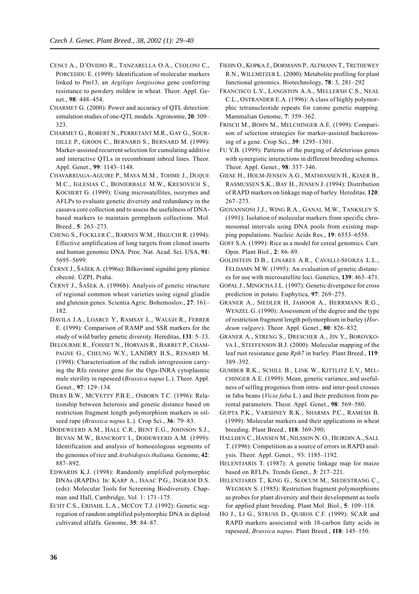- CENCI A., D'OVIDIO R., TANZARELLA O.A., CEOLONI C., PORCEDDU E. (1999): Identification of molecular markers linked to Pm13, an *Aegilops longissima* gene conferring resistance to powdery mildew in wheat. Theor. Appl. Genet., **98**: 448–454.
- CHARMET G. (2000): Power and accuracy of QTL detection: simulation studies of one-QTL models. Agronomie, **20**: 309– 323.
- CHARMET G., ROBERT N., PERRETANT M.R., GAY G., SOUR-DILLE P., GROOS C., BERNARD S., BERNARD M. (1999): Marker-assisted recurrent selection for cumulating additive and interactive QTLs in recombinant inbred lines. Theor. Appl. Genet., **99**: 1143–1148.
- CHAVARRIAGA-AGUIRE P., MAYA M.M., TOHME J., DUQUE M.C., IGLESIAS C., BONIERBALE M.W., KRESOVICH S., KOCHERT G. (1999): Using microsatellites, isozymes and AFLPs to evaluate genetic diversity and redundancy in the cassava core collection and to assess the usefulness of DNAbased markers to maintain germplasm collections. Mol. Breed., **5**: 263–273.
- CHENG S., FOCKLER C., BARNES W.M., HIGUCHI R. (1994): Effective amplification of long targets from cloned inserts and human genomic DNA. Proc. Nat. Acad. Sci. USA, **91**: 5695–5699.
- ČERNÝ J., ŠAŠEK A. (1996a): Bílkovinné signální geny pšenice obecné. ÚZPI, Praha.
- ČERNÝ J., ŠAŠEK A. (1996b): Analysis of genetic structure of regional common wheat varieties using signal gliadin and glutenin genes. Scientia Agric. Bohemoslov., **27**: 161– 182.
- DAVILA J.A., LOARCE Y., RAMSAY L., WAUGH R., FERRER E. (1999): Comparison of RAMP and SSR markers for the study of wild barley genetic diversity. Hereditas, **131**: 5–13.
- DELOURME R., FOISSET N., HORVAIS R., BARRET P., CHAM-PAGNE G., CHEUNG W.Y., LANDRY B.S., RENARD M. (1998): Characterisation of the radish introgression carrying the Rfo restorer gene for the Ogu-INRA cytoplasmic male sterility in rapeseed (*Brassica napus* L.). Theor. Appl. Genet., **97**: 129–134.
- DIERS B.W., MCVETTY P.B.E., OSBORN T.C. (1996): Relationship between heterosis and genetic distance based on restriction fragment length polymorphism markers in oilseed rape (*Brassica napus* L.). Crop Sci., **36**: 79–83.
- DODEWEERD A.M., HALL C.R., BENT E.G., JOHNSON S.J., BEVAN M.W., BANCROFT I., DODEWEERD A.M. (1999): Identification and analysis of homoeologous segments of the genomes of rice and *Arabidopsis thaliana*. Genome, **42**: 887–892.
- EDWARDS K.J. (1998): Randomly amplified polymorphic DNAs (RAPDs). In: KARP A., ISAAC P.G., INGRAM D.S. (eds): Molecular Tools for Screening Biodiversity. Chapman and Hall, Cambridge, Vol. 1: 171–175.
- ECHT C.S., ERDAHL L.A., MCCOY T.J. (1992): Genetic segregation of random amplified polymorphic DNA in diploid cultivated alfalfa. Genome, **35**: 84–87.
- FIEHN O., KOPKA J., DORMANN P., ALTMANN T., TRETHEWEY R.N., WILLMITZER L. (2000): Metabolite profiling for plant functional genomics. Biotechnology, **78**: 3, 281–292
- FRANCISCO L.V., LANGSTON A.A., MELLERSH C.S., NEAL C.L., OSTRANDER E.A. (1996): A class of highly polymorphic tetranucleotide repeats for canine genetic mapping. Mammalian Genome, **7**: 359–362.
- FRISCH M., BOHN M., MELCHINGER A.E. (1999): Comparison of selection strategies for marker-assisted backcrossing of a gene. Crop Sci., **39**: 1295–1301.
- FU Y.B. (1999): Patterns of the purging of deleterious genes with synergistic interactions in different breeding schemes. Theor. Appl. Genet., **98**: 337–346.
- GIESE H., HOLM-JENSEN A.G., MATHIASSEN H., KJAER B., RASMUSSEN S.K., BAY H., JENSEN J. (1994): Distribution of RAPD markers on linkage map of barley. Hereditas, **120**: 267–273.
- GIOVANNONI J.J., WING R.A., GANAL M.W., TANKSLEY S. (1991): Isolation of molecular markers from specific chromosomal intervals using DNA pools from existing mapping populations. Nucleic Acids Res., **19**: 6553–6558.
- GOFF S.A. (1999): Rice as a model for cereal genomics. Curr. Opin. Plant Biol., **2**: 86–89.
- GOLDSTEIN D.B., LINARES A.R., CAVALLI-SFORZA L.L., FELDAMN M.W. (1995): An evaluation of genetic distances for use with microsatellite loci. Genetics, **139**: 463–471.
- GOPAL J., MINOCHA J.L. (1997): Genetic divergence for cross prediction in potato. Euphytica, **97**: 269–275.
- GRANER A., SIEDLER H, JAHOOR A., HERRMANN R.G., WENZEL G. (1990): Assessment of the degree and the type of restriction fragment length polymorphism in barley (*Hordeum vulgare*). Theor. Appl. Genet., **80**: 826–832.
- GRANER A., STRENG S., DRESCHER A., JIN Y., BOROVKO-VA I., STEFFENSON B.J. (2000): Molecular mapping of the leaf rust resistance gene *Rph7* in barley. Plant Breed., **119**: 389–392.
- GUMBER R.K., SCHILL B., LINK W., KITTLITZ E.V., MEL-CHINGER A.E. (1999): Mean, genetic variance, and usefulness of selfing progenies from intra- and inter-pool crosses in faba beans (*Vicia faba* L.) and their prediction from parental parameters. Theor. Appl. Genet., **98**: 569–580.
- GUPTA P.K., VARSHNEY R.K., SHARMA P.C., RAMESH B. (1999): Molecular markers and their applications in wheat breeding. Plant Breed., **118**: 369-390;
- HALLDEN C., HANSEN M., NILSSON N. O., HEJRDIN A., SALL T. (1996): Competition as a source of errors in RAPD analysis. Theor. Appl. Genet., 93: 1185–1192.
- HELENTJARIS T. (1987): A genetic linkage map for maize based on RFLPs. Trends Genet., **3**: 217–221.
- HELENTJARIS T., KING G., SLOCUM M., SIEDESTRANG C., WEGMAN S. (1985): Restriction fragment polymorphisms as probes for plant diversity and their development as tools for applied plant breeding. Plant Mol. Biol., **5**: 109–118.
- HO J., LI G., STRUSS D., QUIROS C.F. (1999): SCAR and RAPD markers associated with 18-carbon fatty acids in rapeseed, *Brassica napus*. Plant Breed., **118**: 145–150.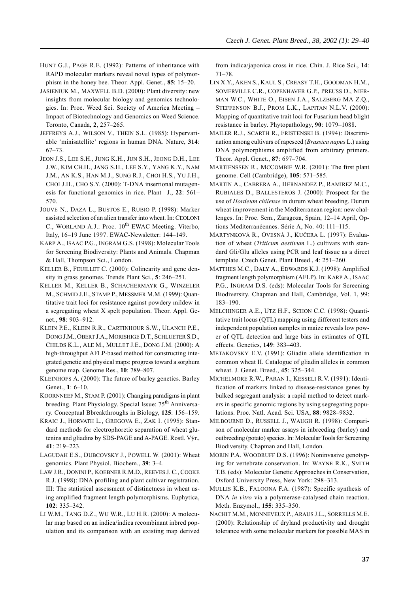- HUNT G.J., PAGE R.E. (1992): Patterns of inheritance with RAPD molecular markers reveal novel types of polymorphism in the honey bee. Theor. Appl. Genet., **85**: 15–20.
- JASIENIUK M., MAXWELL B.D. (2000): Plant diversity: new insights from molecular biology and genomics technologies. In: Proc. Weed Sci. Society of America Meeting – Impact of Biotechnology and Genomics on Weed Science. Toronto, Canada, **2**, 257–265.
- JEFFREYS A.J., WILSON V., THEIN S.L. (1985): Hypervariable 'minisatellite' regions in human DNA. Nature, **314**: 67–73.
- JEON J.S., LEE S.H., JUNG K.H., JUN S.H., JEONG D.H., LEE J.W., KIM CH.H., JANG S.H., LEE S.Y., YANG K.Y., NAM J.M., AN K.S., HAN M.J., SUNG R.J., CHOI H.S., YU J.H., CHOI J.H., CHO S.Y. (2000): T-DNA insertional mutagenesis for functional genomics in rice. Plant J., **22**: 561– 570.
- JOUVE N., DAZA L., BUSTOS E., RUBIO P. (1998): Marker assisted selection of an alien transfer into wheat. In: CEOLONI C., WORLAND A.J.: Proc.  $10^{th}$  EWAC Meeting. Viterbo, Italy, 16–19 June 1997. EWAC-Newsletter: 144–149.
- KARP A., ISAAC P.G., INGRAM G.S. (1998): Molecular Tools for Screening Biodiversity: Plants and Animals. Chapman & Hall, Thompson Sci., London.
- KELLER B., FEUILLET C. (2000): Colinearity and gene density in grass genomes. Trends Plant Sci., **5**: 246–251.
- KELLER M., KELLER B., SCHACHERMAYR G., WINZELER M., SCHMID J.E., STAMP P., MESSMER M.M. (1999): Quantitative trait loci for resistance against powdery mildew in a segregating wheat X spelt population. Theor. Appl. Genet., **98**: 903–912.
- KLEIN P.E., KLEIN R.R., CARTINHOUR S.W., ULANCH P.E., DONG J.M., OBERT J.A., MORISHIGE D.T., SCHLUETER S.D., CHILDS K.L., ALE M., MULLET J.E., DONG J.M. (2000): A high-throughput AFLP-based method for constructing integrated genetic and physical maps: progress toward a sorghum genome map. Genome Res., **10**: 789–807.
- KLEINHOFS A. (2000): The future of barley genetics. Barley Genet., **1**: 6–10.
- KOORNNEEF M., STAM P. (2001): Changing paradigms in plant breeding. Plant Physiology. Special Issue: 75<sup>th</sup> Anniversary. Conceptual Bbreakthroughs in Biology, **125**: 156–159.
- KRAIC J., HORVATH L., GREGOVA E., ZAK I. (1995): Standard methods for electrophoretic separation of wheat glutenins and gliadins by SDS-PAGE and A-PAGE. Rostl. Výr., **41**: 219–223.
- LAGUDAH E.S., DUBCOVSKY J., POWELL W. (2001): Wheat genomics. Plant Physiol. Biochem., **39**: 3–4.
- LAW J.R., DONINI P., KOEBNER R.M.D., REEVES J. C., COOKE R.J. (1998): DNA profiling and plant cultivar registration. III: The statistical assessment of distinctness in wheat using amplified fragment length polymorphisms. Euphytica, **102**: 335–342.
- LI W.M., TANG D.Z., WU W.R., LU H.R. (2000): A molecular map based on an indica/indica recombinant inbred population and its comparison with an existing map derived

from indica/japonica cross in rice. Chin. J. Rice Sci., **14**: 71–78.

- LIN X.Y., AKEN S., KAUL S., CREASY T.H., GOODMAN H.M., SOMERVILLE C.R., COPENHAVER G.P., PREUSS D., NIER-MAN W.C., WHITE O., EISEN J.A., SALZBERG MA Z.Q., STEFFENSON B.J., PROM L.K., LAPITAN N.L.V. (2000): Mapping of quantitative trait loci for Fusarium head blight resistance in barley. Phytopathology, **90**: 1079–1088.
- MAILER R.J., SCARTH R., FRISTENSKI B. (1994): Discrimination among cultivars of rapeseed (*Brassica napus* L.) using DNA polymorphisms amplified from arbitrary primers. Theor. Appl. Genet., **87**: 697–704.
- MARTIENSSEN R., MCCOMBIE W.R. (2001): The first plant genome. Cell (Cambridge), **105**: 571–585.
- MARTIN A., CABRERA A., HERNANDEZ P., RAMIREZ M.C., RUBIALES D., BALLESTEROS J. (2000): Prospect for the use of *Hordeum chilense* in durum wheat breeding. Durum wheat improvement in the Mediterranean region: new challenges. In: Proc. Sem., Zaragoza, Spain, 12–14 April, Options Mediterranéennes. Série A, No. 40: 111–115.
- MARTYNKOVÁ R., OVESNÁ J., KUČERA L. (1997): Evaluation of wheat (*Triticum aestivum* L.) cultivars with standard Gli/Glu alleles using PCR and leaf tissue as a direct template. Czech Genet. Plant Breed., **4**: 251–260.
- MATTHES M.C., DALY A., EDWARDS K.J. (1998): Amplified fragment length polymorphism (AFLP). In: KARP A., ISAAC P.G., INGRAM D.S. (eds): Molecular Tools for Screening Biodiversity. Chapman and Hall, Cambridge, Vol. 1, 99: 183–190.
- MELCHINGER A.E., UTZ H.F., SCHON C.C. (1998): Quantitative trait locus (QTL) mapping using different testers and independent population samples in maize reveals low power of QTL detection and large bias in estimates of QTL effects. Genetics, **149**: 383–403.
- METAKOVSKY E.V. (1991): Gliadin allele identification in common wheat II. Catalogue of gliadin alleles in common wheat. J. Genet. Breed., **45**: 325–344.
- MICHELMORE R.W., PARAN I., KESSELI R.V. (1991): Identification of markers linked to disease-resistance genes by bulked segregant analysis: a rapid method to detect markers in specific genomic regions by using segregating populations. Proc. Natl. Acad. Sci. USA, **88**: 9828–9832.
- MILBOURNE D., RUSSELL J., WAUGH R. (1998): Comparison of molecular marker assays in inbreeding (barley) and outbreeding (potato) species. In: Molecular Tools for Screening Biodiversity. Chapman and Hall, London.
- MORIN P.A. WOODRUFF D.S. (1996): Noninvasive genotyping for vertebrate conservation. In: WAYNE R.K., SMITH T.B. (eds): Molecular Genetic Approaches in Conservation, Oxford University Press, New York: 298–313.
- MULLIS K.B., FALOONA F.A. (1987): Specific synthesis of DNA *in vitro* via a polymerase-catalysed chain reaction. Meth. Enzymol., **155**: 335–350.
- NACHIT M.M., MONNEVEUX P., ARAUS J.L., SORRELLS M.E. (2000): Relationship of dryland productivity and drought tolerance with some molecular markers for possible MAS in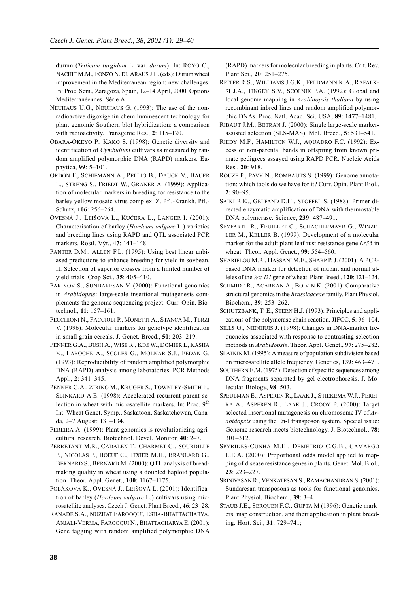durum (*Triticum turgidum* L. var. *durum*). In: ROYO C., NACHIT M.M., FONZO N. DI, ARAUS J.L. (eds): Durum wheat improvement in the Mediterranean region: new challenges. In: Proc. Sem., Zaragoza, Spain, 12–14 April, 2000. Options Mediterranéennes. Série A.

- NEUHAUS U.G., NEUHAUS G. (1993): The use of the nonradioactive digoxigenin chemiluminescent technology for plant genomic Southern blot hybridization: a comparison with radioactivity. Transgenic Res., **2**: 115–120.
- OBARA-OKEYO P., KAKO S. (1998): Genetic diversity and identification of *Cymbidium* cultivars as measured by random amplified polymorphic DNA (RAPD) markers. Euphytica, **99**: 5–101.
- ORDON F., SCHIEMANN A., PELLIO B., DAUCK V., BAUER E., STRENG S., FRIEDT W., GRANER A. (1999): Application of molecular markers in breeding for resistance to the barley yellow mosaic virus complex. Z. Pfl.-Krankh. Pfl.- Schutz, **106**: 256–264.
- OVESNÁ J., LEIŠOVÁ L., KUČERA L., LANGER I. (2001): Characterisation of barley (*Hordeum vulgare* L.) varieties and breeding lines using RAPD and QTL associated PCR markers. Rostl. Výr., **47**: 141–148.
- PANTER D.M., ALLEN F.L. (1995): Using best linear unbiased predictions to enhance breeding for yield in soybean. II. Selection of superior crosses from a limited number of yield trials. Crop Sci., **35**: 405–410.
- PARINOV S., SUNDARESAN V. (2000): Functional genomics in *Arabidopsis*: large-scale insertional mutagenesis complements the genome sequencing project. Curr. Opin. Biotechnol., **11**: 157–161.
- PECCHIONI N., FACCIOLI P., MONETTI A., STANCA M., TERZI V. (1996): Molecular markers for genotype identification in small grain cereals. J. Genet. Breed., **50**: 203–219.
- PENNER G.A., BUSH A., WISE R., KIM W., DOMIER L, KASHA K., LAROCHE A., SCOLES G., MOLNAR S.J., FEDAK G. (1993): Reproducibility of random amplified polymorphic DNA (RAPD) analysis among laboratories. PCR Methods Appl., **2**: 341–345.
- PENNER G.A., ZIRINO M., KRUGER S., TOWNLEY-SMITH F., SLINKARD A.E. (1998): Accelerated recurrent parent selection in wheat with microsatellite markers. In: Proc. 9<sup>th</sup> Int. Wheat Genet. Symp., Saskatoon, Saskatchewan, Canada, 2–7 August: 131–134.
- PEREIRA A. (1999): Plant genomics is revolutionizing agricultural research. Biotechnol. Devel. Monitor, **40**: 2–7.
- PERRETANT M.R., CADALEN T., CHARMET G., SOURDILLE P., NICOLAS P., BOEUF C., TIXIER M.H., BRANLARD G., BERNARD S., BERNARD M. (2000): QTL analysis of breadmaking quality in wheat using a doubled haploid population. Theor. Appl. Genet., **100**: 1167–1175.
- POLÁKOVÁ K., OVESNÁ J., LEIŠOVÁ L. (2001): Identification of barley (*Hordeum vulgare* L.) cultivars using microsatellite analyses. Czech J. Genet. Plant Breed., **46**: 23–28.
- RANADE S.A., NUZHAT FAROOQUI, ESHA-BHATTACHARYA, ANJALI-VERMA, FAROOQUI N., BHATTACHARYA E. (2001): Gene tagging with random amplified polymorphic DNA

(RAPD) markers for molecular breeding in plants. Crit. Rev. Plant Sci., **20**: 251–275.

- REITER R.S., WILLIAMS J.G.K., FELDMANN K.A., RAFALK-SI J.A., TINGEY S.V., SCOLNIK P.A. (1992): Global and local genome mapping in *Arabidopsis thaliana* by using recombinant inbred lines and random amplified polymorphic DNAs. Proc. Natl. Acad. Sci. USA, **89**: 1477–1481.
- RIBAUT J.M., BETRAN J. (2000): Single large-scale markerassisted selection (SLS-MAS). Mol. Breed., **5**: 531–541.
- RIEDY M.F., HAMILTON W.J., AQUADRO F.C. (1992): Excess of non-parental bands in offspring from known primate pedigrees assayed using RAPD PCR. Nucleic Acids Res., **20**: 918.
- ROUZE P., PAVY N., ROMBAUTS S. (1999): Genome annotation: which tools do we have for it? Curr. Opin. Plant Biol.,  $2 \cdot 90 - 95$
- SAIKI R.K., GELFAND D.H., STOFFEL S. (1988): Primer directed enzymatic amplification of DNA with thermostable DNA polymerase. Science, **239**: 487–491.
- SEYFARTH R., FEUILLET C., SCHACHERMAYR G., WINZE-LER M., KELLER B. (1999): Development of a molecular marker for the adult plant leaf rust resistance gene *Lr35* in wheat. Theor. Appl. Genet., **99**: 554–560.
- SHARIFLOU M.R., HASSANI M.E., SHARP P. J. (2001): A PCRbased DNA marker for detection of mutant and normal alleles of the *Wx-D1* gene of wheat. Plant Breed., **120**: 121–124.
- SCHMIDT R., ACARKAN A., BOIVIN K. (2001): Comparative structural genomics in the *Brassicaceae* family. Plant Physiol. Biochem., **39**: 253–262.
- SCHUTZBANK, T. E., STERN H.J. (1993): Principles and applications of the polymerase chain reaction. JIFCC, **5**: 96–104.
- SILLS G., NIENHUIS J. (1998): Changes in DNA-marker frequencies associated with response to contrasting selection methods in *Arabidopsis*. Theor. Appl. Genet., **97**: 275–282.
- SLATKIN M. (1995): A measure of population subdivision based on microsatellite allele frequency. Genetics, **139**: 463–471.
- SOUTHERN E.M. (1975): Detection of specific sequences among DNA fragments separated by gel electrophoresis. J. Molecular Biology, **98**: 503.
- SPEULMAN E., ASPEREN R., LAAK J., STIEKEMA W.J., PEREI-RA A., ASPEREN R., LAAK J., CROOY P. (2000): Target selected insertional mutagenesis on chromosome IV of *Arabidopsis* using the En-I transposon system. Special issue: Genome research meets biotechnology. J. Biotechnol., **78**: 301–312.
- SPYRIDES-CUNHA M.H., DEMETRIO C.G.B., CAMARGO L.E.A. (2000): Proportional odds model applied to mapping of disease resistance genes in plants. Genet. Mol. Biol., **23**: 223–227.
- SRINIVASAN R., VENKATESAN S., RAMACHANDRAN S. (2001): Sundaresan transposons as tools for functional genomics. Plant Physiol. Biochem., **39**: 3–4.
- STAUB J.E., SERQUEN F.C., GUPTA M (1996): Genetic markers, map construction, and their application in plant breeding. Hort. Sci., **31**: 729–741;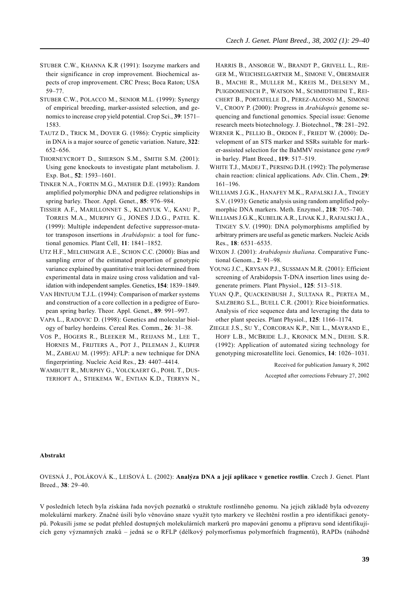- STUBER C.W., KHANNA K.R (1991): Isozyme markers and their significance in crop improvement. Biochemical aspects of crop improvement. CRC Press; Boca Raton; USA 59–77.
- STUBER C.W., POLACCO M., SENIOR M.L. (1999): Synergy of empirical breeding, marker-assisted selection, and genomics to increase crop yield potential. Crop Sci., **39**: 1571– 1583.
- TAUTZ D., TRICK M., DOVER G. (1986): Cryptic simplicity in DNA is a major source of genetic variation. Nature, **322**: 652–656.
- THORNEYCROFT D., SHERSON S.M., SMITH S.M. (2001): Using gene knockouts to investigate plant metabolism. J. Exp. Bot., **52**: 1593–1601.
- TINKER N.A., FORTIN M.G., MATHER D.E. (1993): Random amplified polymorphic DNA and pedigree relationships in spring barley. Theor. Appl. Genet., **85**: 976–984.
- TISSIER A.F., MARILLONNET S., KLIMYUK V., KANU P., TORRES M.A., MURPHY G., JONES J.D.G., PATEL K. (1999): Multiple independent defective suppressor-mutator transposon insertions in *Arabidopsis*: a tool for functional genomics. Plant Cell, **11**: 1841–1852.
- UTZ H.F., MELCHINGER A.E., SCHON C.C. (2000): Bias and sampling error of the estimated proportion of genotypic variance explained by quantitative trait loci determined from experimental data in maize using cross validation and validation with independent samples. Genetics, **154**: 1839–1849.
- VAN HINTUUM T.J.L. (1994): Comparison of marker systems and construction of a core collection in a pedigree of European spring barley. Theor. Appl. Genet., **89**: 991–997.
- VAPA L., RADOVIC D. (1998): Genetics and molecular biology of barley hordeins. Cereal Res. Comm., **26**: 31–38.
- VOS P., HOGERS R., BLEEKER M., REIJANS M., LEE T., HORNES M., FRIJTERS A., POT J., PELEMAN J., KUIPER M., ZABEAU M. (1995): AFLP: a new technique for DNA fingerprinting. Nucleic Acid Res., **23**: 4407–4414.
- WAMBUTT R., MURPHY G., VOLCKAERT G., POHL T., DUS-TERHOFT A., STIEKEMA W., ENTIAN K.D., TERRYN N.,

HARRIS B., ANSORGE W., BRANDT P., GRIVELL L., RIE-GER M., WEICHSELGARTNER M., SIMONE V., OBERMAIER B., MACHE R., MULLER M., KREIS M., DELSENY M., PUIGDOMENECH P., WATSON M., SCHMIDTHEINI T., REI-CHERT B., PORTATELLE D., PEREZ-ALONSO M., SIMONE V., CROOY P. (2000): Progress in *Arabidopsis* genome sequencing and functional genomics. Special issue: Genome research meets biotechnology. J. Biotechnol., **78**: 281–292.

- WERNER K., PELLIO B., ORDON F., FRIEDT W. (2000): Development of an STS marker and SSRs suitable for marker-assisted selection for the BaMMV resistance gene *rym9* in barley. Plant Breed., **119**: 517–519.
- WHITE T.J., MADEJ T., PERSING D.H. (1992): The polymerase chain reaction: clinical applications. Adv. Clin. Chem., **29**: 161–196.
- WILLIAMS J.G.K., HANAFEY M.K., RAFALSKI J.A., TINGEY S.V. (1993): Genetic analysis using random amplified polymorphic DNA markers. Meth. Enzymol., **218**: 705–740.
- WILLIAMS J.G.K., KUBELIK A.R., LIVAK K.J., RAFALSKI J.A., TINGEY S.V. (1990): DNA polymorphisms amplified by arbitrary primers are useful as genetic markers. Nucleic Acids Res., **18**: 6531–6535.
- WIXON J. (2001): *Arabidopsis thaliana*. Comparative Functional Genom., **2**: 91–98.
- YOUNG J.C., KRYSAN P.J., SUSSMAN M.R. (2001): Efficient screening of Arabidopsis T-DNA insertion lines using degenerate primers. Plant Physiol., **125**: 513–518.
- YUAN Q.P., QUACKENBUSH J., SULTANA R., PERTEA M., SALZBERG S.L., BUELL C.R. (2001): Rice bioinformatics. Analysis of rice sequence data and leveraging the data to other plant species. Plant Physiol., **125**: 1166–1174.
- ZIEGLE J.S., SU Y., CORCORAN K.P., NIE L., MAYRAND E., HOFF L.B., MCBRIDE L.J., KRONICK M.N., DIEHL S.R. (1992): Application of automated sizing technology for genotyping microsatellite loci. Genomics, **14**: 1026–1031.

Received for publication January 8, 2002 Accepted after corrections February 27, 2002

#### **Abstrakt**

OVESNÁ J., POLÁKOVÁ K., LEIŠOVÁ L. (2002): **Analýza DNA a její aplikace v genetice rostlin**. Czech J. Genet. Plant Breed., **38**: 29–40.

V posledních letech byla získána řada nových poznatků o struktuře rostlinného genomu. Na jejich základě byla odvozeny molekulární markery. Značné úsilí bylo věnováno snaze využít tyto markery ve šlechtění rostlin a pro identifikaci genotypů. Pokusili jsme se podat přehled dostupných molekulárních markerů pro mapování genomu a přípravu sond identifikujících geny významných znaků – jedná se o RFLP (délkový polymorfismus polymorfních fragmentů), RAPDs (náhodně